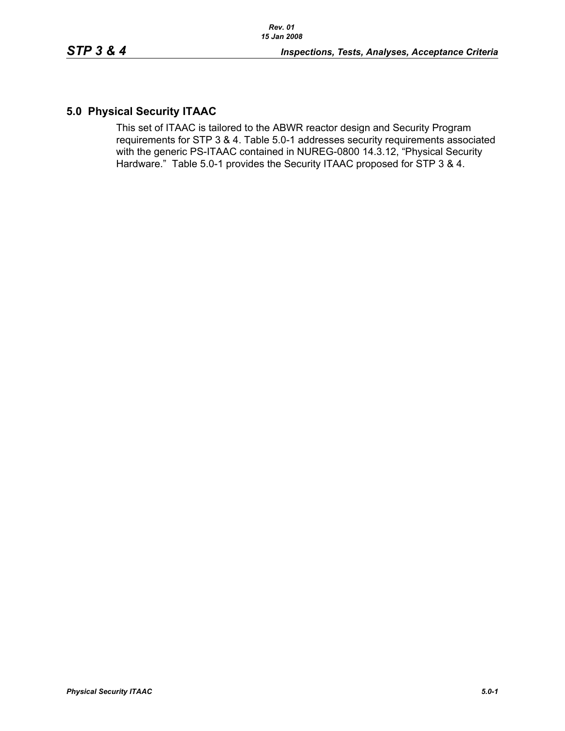## **5.0 Physical Security ITAAC**

This set of ITAAC is tailored to the ABWR reactor design and Security Program requirements for STP 3 & 4. Table 5.0-1 addresses security requirements associated with the generic PS-ITAAC contained in NUREG-0800 14.3.12, "Physical Security Hardware." Table 5.0-1 provides the Security ITAAC proposed for STP 3 & 4.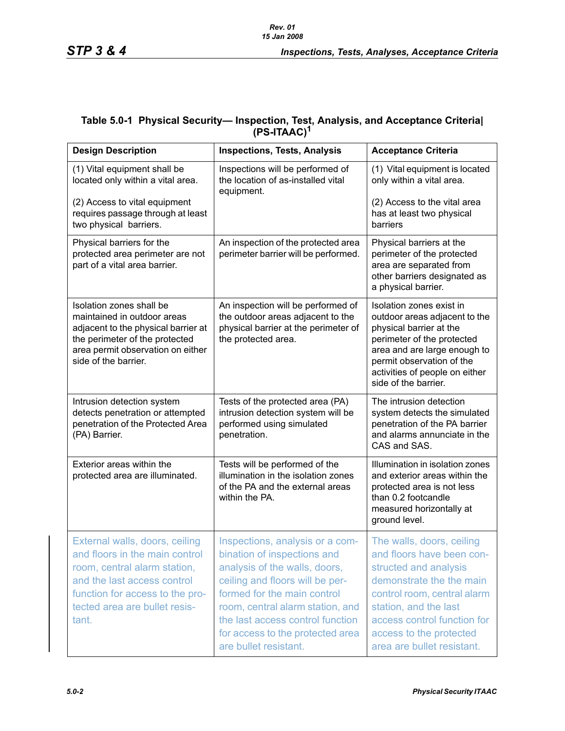## **Table 5.0-1 Physical Security— Inspection, Test, Analysis, and Acceptance Criteria| (PS-ITAAC)<sup>1</sup>**

| <b>Design Description</b>                                                                                                                                                                                    | <b>Inspections, Tests, Analysis</b>                                                                                                                                                                                                                                                                    | <b>Acceptance Criteria</b>                                                                                                                                                                                                                                  |
|--------------------------------------------------------------------------------------------------------------------------------------------------------------------------------------------------------------|--------------------------------------------------------------------------------------------------------------------------------------------------------------------------------------------------------------------------------------------------------------------------------------------------------|-------------------------------------------------------------------------------------------------------------------------------------------------------------------------------------------------------------------------------------------------------------|
| (1) Vital equipment shall be<br>located only within a vital area.                                                                                                                                            | Inspections will be performed of<br>the location of as-installed vital<br>equipment.                                                                                                                                                                                                                   | (1) Vital equipment is located<br>only within a vital area.                                                                                                                                                                                                 |
| (2) Access to vital equipment<br>requires passage through at least<br>two physical barriers.                                                                                                                 |                                                                                                                                                                                                                                                                                                        | (2) Access to the vital area<br>has at least two physical<br>barriers                                                                                                                                                                                       |
| Physical barriers for the<br>protected area perimeter are not<br>part of a vital area barrier.                                                                                                               | An inspection of the protected area<br>perimeter barrier will be performed.                                                                                                                                                                                                                            | Physical barriers at the<br>perimeter of the protected<br>area are separated from<br>other barriers designated as<br>a physical barrier.                                                                                                                    |
| Isolation zones shall be<br>maintained in outdoor areas<br>adjacent to the physical barrier at<br>the perimeter of the protected<br>area permit observation on either<br>side of the barrier.                | An inspection will be performed of<br>the outdoor areas adjacent to the<br>physical barrier at the perimeter of<br>the protected area.                                                                                                                                                                 | Isolation zones exist in<br>outdoor areas adjacent to the<br>physical barrier at the<br>perimeter of the protected<br>area and are large enough to<br>permit observation of the<br>activities of people on either<br>side of the barrier.                   |
| Intrusion detection system<br>detects penetration or attempted<br>penetration of the Protected Area<br>(PA) Barrier.                                                                                         | Tests of the protected area (PA)<br>intrusion detection system will be<br>performed using simulated<br>penetration.                                                                                                                                                                                    | The intrusion detection<br>system detects the simulated<br>penetration of the PA barrier<br>and alarms annunciate in the<br>CAS and SAS.                                                                                                                    |
| Exterior areas within the<br>protected area are illuminated.                                                                                                                                                 | Tests will be performed of the<br>illumination in the isolation zones<br>of the PA and the external areas<br>within the PA.                                                                                                                                                                            | Illumination in isolation zones<br>and exterior areas within the<br>protected area is not less<br>than 0.2 footcandle<br>measured horizontally at<br>ground level.                                                                                          |
| External walls, doors, ceiling<br>and floors in the main control<br>room, central alarm station,<br>and the last access control<br>function for access to the pro-<br>tected area are bullet resis-<br>tant. | Inspections, analysis or a com-<br>bination of inspections and<br>analysis of the walls, doors,<br>ceiling and floors will be per-<br>formed for the main control<br>room, central alarm station, and<br>the last access control function<br>for access to the protected area<br>are bullet resistant. | The walls, doors, ceiling<br>and floors have been con-<br>structed and analysis<br>demonstrate the the main<br>control room, central alarm<br>station, and the last<br>access control function for<br>access to the protected<br>area are bullet resistant. |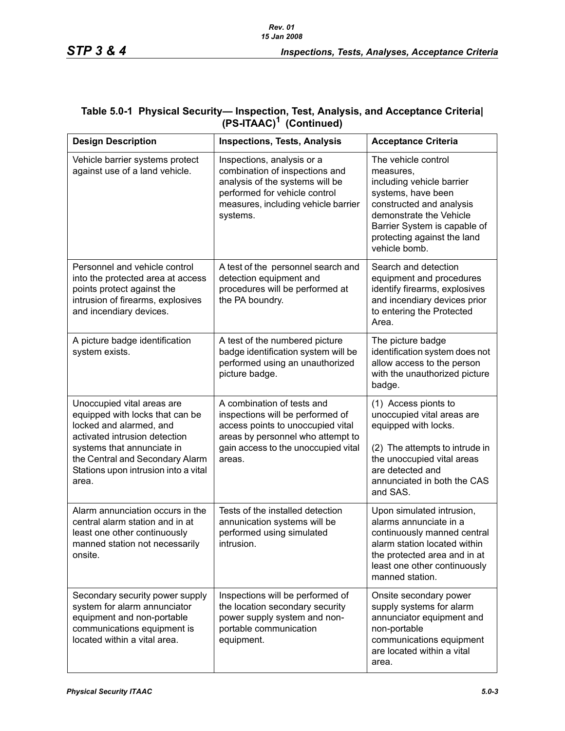| <b>Design Description</b>                                                                                                                                                                                                                   | <b>Inspections, Tests, Analysis</b>                                                                                                                                                       | <b>Acceptance Criteria</b>                                                                                                                                                                                                 |
|---------------------------------------------------------------------------------------------------------------------------------------------------------------------------------------------------------------------------------------------|-------------------------------------------------------------------------------------------------------------------------------------------------------------------------------------------|----------------------------------------------------------------------------------------------------------------------------------------------------------------------------------------------------------------------------|
| Vehicle barrier systems protect<br>against use of a land vehicle.                                                                                                                                                                           | Inspections, analysis or a<br>combination of inspections and<br>analysis of the systems will be<br>performed for vehicle control<br>measures, including vehicle barrier<br>systems.       | The vehicle control<br>measures.<br>including vehicle barrier<br>systems, have been<br>constructed and analysis<br>demonstrate the Vehicle<br>Barrier System is capable of<br>protecting against the land<br>vehicle bomb. |
| Personnel and vehicle control<br>into the protected area at access<br>points protect against the<br>intrusion of firearms, explosives<br>and incendiary devices.                                                                            | A test of the personnel search and<br>detection equipment and<br>procedures will be performed at<br>the PA boundry.                                                                       | Search and detection<br>equipment and procedures<br>identify firearms, explosives<br>and incendiary devices prior<br>to entering the Protected<br>Area.                                                                    |
| A picture badge identification<br>system exists.                                                                                                                                                                                            | A test of the numbered picture<br>badge identification system will be<br>performed using an unauthorized<br>picture badge.                                                                | The picture badge<br>identification system does not<br>allow access to the person<br>with the unauthorized picture<br>badge.                                                                                               |
| Unoccupied vital areas are<br>equipped with locks that can be<br>locked and alarmed, and<br>activated intrusion detection<br>systems that annunciate in<br>the Central and Secondary Alarm<br>Stations upon intrusion into a vital<br>area. | A combination of tests and<br>inspections will be performed of<br>access points to unoccupied vital<br>areas by personnel who attempt to<br>gain access to the unoccupied vital<br>areas. | (1) Access pionts to<br>unoccupied vital areas are<br>equipped with locks.<br>(2) The attempts to intrude in<br>the unoccupied vital areas<br>are detected and<br>annunciated in both the CAS<br>and SAS.                  |
| Alarm annunciation occurs in the<br>central alarm station and in at<br>least one other continuously<br>manned station not necessarily<br>onsite.                                                                                            | Tests of the installed detection<br>annunication systems will be<br>performed using simulated<br>intrusion.                                                                               | Upon simulated intrusion,<br>alarms annunciate in a<br>continuously manned central<br>alarm station located within<br>the protected area and in at<br>least one other continuously<br>manned station.                      |
| Secondary security power supply<br>system for alarm annunciator<br>equipment and non-portable<br>communications equipment is<br>located within a vital area.                                                                                | Inspections will be performed of<br>the location secondary security<br>power supply system and non-<br>portable communication<br>equipment.                                               | Onsite secondary power<br>supply systems for alarm<br>annunciator equipment and<br>non-portable<br>communications equipment<br>are located within a vital<br>area.                                                         |

## **Table 5.0-1 Physical Security— Inspection, Test, Analysis, and Acceptance Criteria| (PS-ITAAC)1 (Continued)**